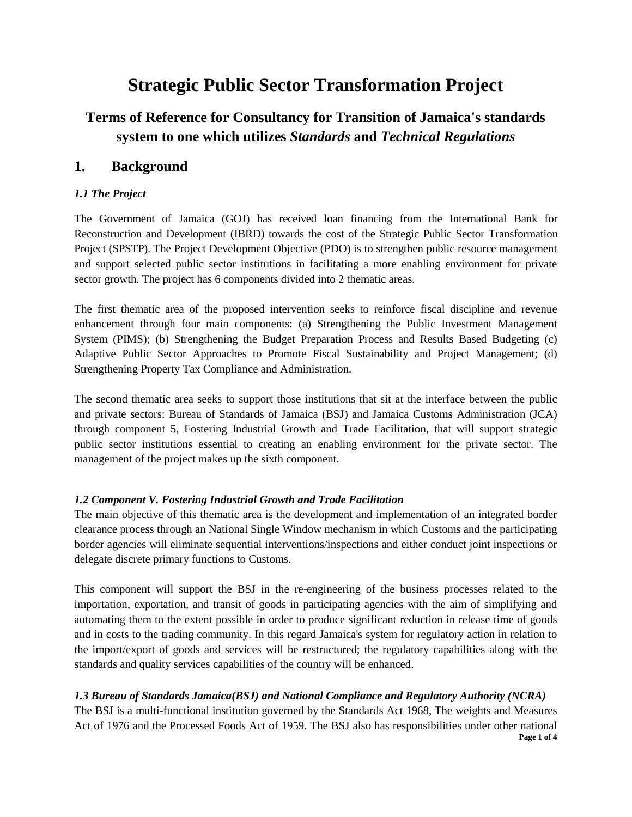# **Strategic Public Sector Transformation Project**

# **Terms of Reference for Consultancy for Transition of Jamaica's standards system to one which utilizes** *Standards* **and** *Technical Regulations*

## **1. Background**

#### *1.1 The Project*

The Government of Jamaica (GOJ) has received loan financing from the International Bank for Reconstruction and Development (IBRD) towards the cost of the Strategic Public Sector Transformation Project (SPSTP). The Project Development Objective (PDO) is to strengthen public resource management and support selected public sector institutions in facilitating a more enabling environment for private sector growth. The project has 6 components divided into 2 thematic areas.

The first thematic area of the proposed intervention seeks to reinforce fiscal discipline and revenue enhancement through four main components: (a) Strengthening the Public Investment Management System (PIMS); (b) Strengthening the Budget Preparation Process and Results Based Budgeting (c) Adaptive Public Sector Approaches to Promote Fiscal Sustainability and Project Management; (d) Strengthening Property Tax Compliance and Administration.

The second thematic area seeks to support those institutions that sit at the interface between the public and private sectors: Bureau of Standards of Jamaica (BSJ) and Jamaica Customs Administration (JCA) through component 5, Fostering Industrial Growth and Trade Facilitation, that will support strategic public sector institutions essential to creating an enabling environment for the private sector. The management of the project makes up the sixth component.

#### *1.2 Component V. Fostering Industrial Growth and Trade Facilitation*

The main objective of this thematic area is the development and implementation of an integrated border clearance process through an National Single Window mechanism in which Customs and the participating border agencies will eliminate sequential interventions/inspections and either conduct joint inspections or delegate discrete primary functions to Customs.

This component will support the BSJ in the re-engineering of the business processes related to the importation, exportation, and transit of goods in participating agencies with the aim of simplifying and automating them to the extent possible in order to produce significant reduction in release time of goods and in costs to the trading community. In this regard Jamaica's system for regulatory action in relation to the import/export of goods and services will be restructured; the regulatory capabilities along with the standards and quality services capabilities of the country will be enhanced.

#### *1.3 Bureau of Standards Jamaica(BSJ) and National Compliance and Regulatory Authority (NCRA)*

**Page 1 of 4** The BSJ is a multi-functional institution governed by the Standards Act 1968, The weights and Measures Act of 1976 and the Processed Foods Act of 1959. The BSJ also has responsibilities under other national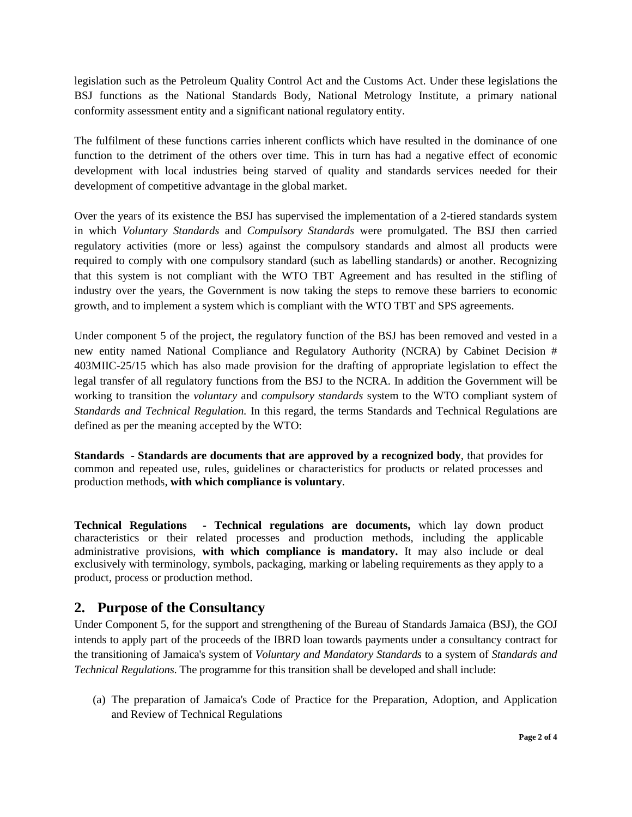legislation such as the Petroleum Quality Control Act and the Customs Act. Under these legislations the BSJ functions as the National Standards Body, National Metrology Institute, a primary national conformity assessment entity and a significant national regulatory entity.

The fulfilment of these functions carries inherent conflicts which have resulted in the dominance of one function to the detriment of the others over time. This in turn has had a negative effect of economic development with local industries being starved of quality and standards services needed for their development of competitive advantage in the global market.

Over the years of its existence the BSJ has supervised the implementation of a 2-tiered standards system in which *Voluntary Standards* and *Compulsory Standards* were promulgated. The BSJ then carried regulatory activities (more or less) against the compulsory standards and almost all products were required to comply with one compulsory standard (such as labelling standards) or another. Recognizing that this system is not compliant with the WTO TBT Agreement and has resulted in the stifling of industry over the years, the Government is now taking the steps to remove these barriers to economic growth, and to implement a system which is compliant with the WTO TBT and SPS agreements.

Under component 5 of the project, the regulatory function of the BSJ has been removed and vested in a new entity named National Compliance and Regulatory Authority (NCRA) by Cabinet Decision # 403MIIC-25/15 which has also made provision for the drafting of appropriate legislation to effect the legal transfer of all regulatory functions from the BSJ to the NCRA. In addition the Government will be working to transition the *voluntary* and *compulsory standards* system to the WTO compliant system of *Standards and Technical Regulation.* In this regard, the terms Standards and Technical Regulations are defined as per the meaning accepted by the WTO:

**Standards - Standards are documents that are approved by a recognized body**, that provides for common and repeated use, rules, guidelines or characteristics for products or related processes and production methods, **with which compliance is voluntary**.

**Technical Regulations - Technical regulations are documents,** which lay down product characteristics or their related processes and production methods, including the applicable administrative provisions, **with which compliance is mandatory.** It may also include or deal exclusively with terminology, symbols, packaging, marking or labeling requirements as they apply to a product, process or production method.

### **2. Purpose of the Consultancy**

Under Component 5, for the support and strengthening of the Bureau of Standards Jamaica (BSJ), the GOJ intends to apply part of the proceeds of the IBRD loan towards payments under a consultancy contract for the transitioning of Jamaica's system of *Voluntary and Mandatory Standards* to a system of *Standards and Technical Regulations*. The programme for this transition shall be developed and shall include:

(a) The preparation of Jamaica's Code of Practice for the Preparation, Adoption, and Application and Review of Technical Regulations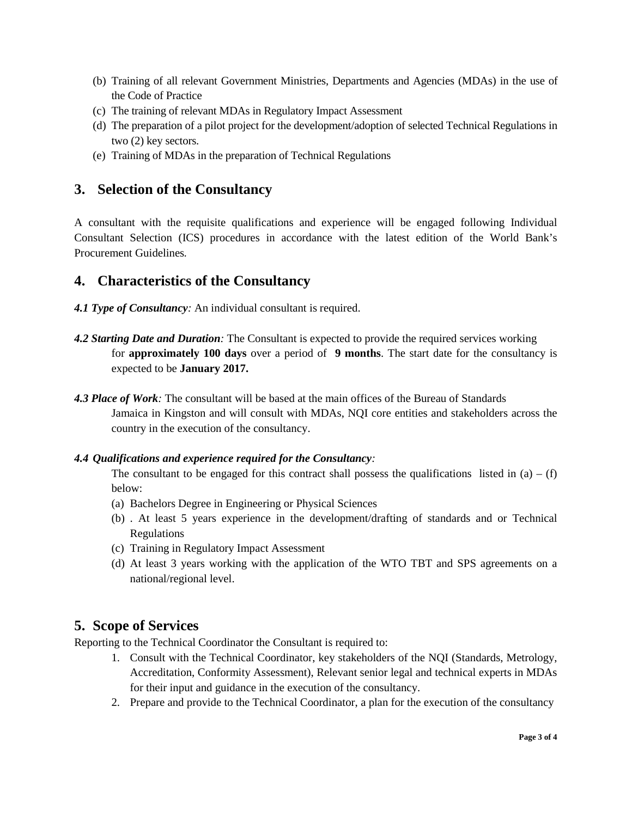- (b) Training of all relevant Government Ministries, Departments and Agencies (MDAs) in the use of the Code of Practice
- (c) The training of relevant MDAs in Regulatory Impact Assessment
- (d) The preparation of a pilot project for the development/adoption of selected Technical Regulations in two (2) key sectors.
- (e) Training of MDAs in the preparation of Technical Regulations

## **3. Selection of the Consultancy**

A consultant with the requisite qualifications and experience will be engaged following Individual Consultant Selection (ICS) procedures in accordance with the latest edition of the World Bank's Procurement Guidelines*.*

## **4. Characteristics of the Consultancy**

- *4.1 Type of Consultancy:* An individual consultant is required.
- *4.2 Starting Date and Duration:* The Consultant is expected to provide the required services working for **approximately 100 days** over a period of**9 months**. The start date for the consultancy is expected to be **January 2017.**
- *4.3 Place of Work:* The consultant will be based at the main offices of the Bureau of Standards Jamaica in Kingston and will consult with MDAs, NQI core entities and stakeholders across the country in the execution of the consultancy.

#### *4.4 Qualifications and experience required for the Consultancy:*

The consultant to be engaged for this contract shall possess the qualifications listed in  $(a) - (f)$ below:

- (a) Bachelors Degree in Engineering or Physical Sciences
- (b) . At least 5 years experience in the development/drafting of standards and or Technical Regulations
- (c) Training in Regulatory Impact Assessment
- (d) At least 3 years working with the application of the WTO TBT and SPS agreements on a national/regional level.

# **5. Scope of Services**

Reporting to the Technical Coordinator the Consultant is required to:

- 1. Consult with the Technical Coordinator, key stakeholders of the NQI (Standards, Metrology, Accreditation, Conformity Assessment), Relevant senior legal and technical experts in MDAs for their input and guidance in the execution of the consultancy.
- 2. Prepare and provide to the Technical Coordinator, a plan for the execution of the consultancy